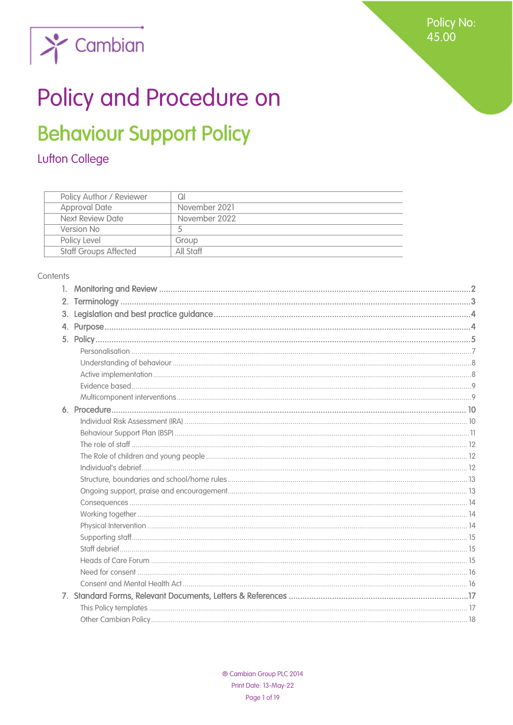**Policy No:** 45.00



# Policy and Procedure on

# **Behaviour Support Policy**

# Lufton College

| Policy Author / Reviewer     | QI            |
|------------------------------|---------------|
| <b>Approval Date</b>         | November 2021 |
| Next Review Date             | November 2022 |
| Version No                   |               |
| Policy Level                 | Group         |
| <b>Staff Groups Affected</b> | All Staff     |

#### Contents

| 2. |  |
|----|--|
| 3. |  |
|    |  |
|    |  |
|    |  |
|    |  |
|    |  |
|    |  |
|    |  |
|    |  |
|    |  |
|    |  |
|    |  |
|    |  |
|    |  |
|    |  |
|    |  |
|    |  |
|    |  |
|    |  |
|    |  |
|    |  |
|    |  |
|    |  |
|    |  |
|    |  |
|    |  |
|    |  |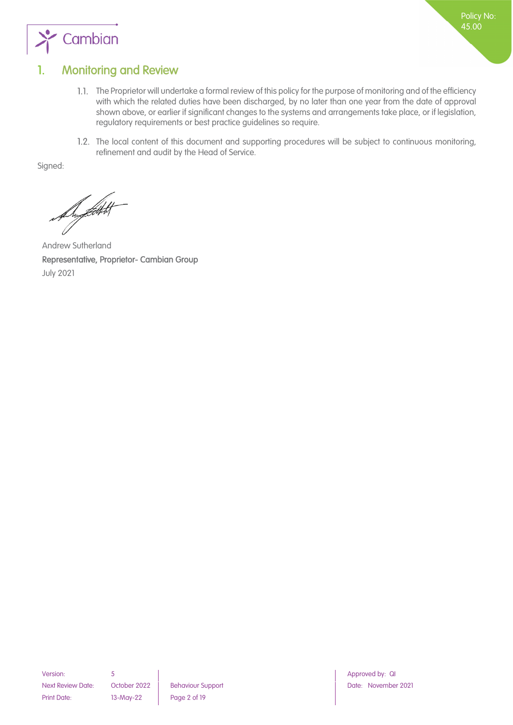



## <span id="page-1-0"></span>1. Monitoring and Review

- The Proprietor will undertake a formal review of this policy for the purpose of monitoring and of the efficiency with which the related duties have been discharged, by no later than one year from the date of approval shown above, or earlier if significant changes to the systems and arrangements take place, or if legislation, regulatory requirements or best practice guidelines so require.
- 1.2. The local content of this document and supporting procedures will be subject to continuous monitoring, refinement and audit by the Head of Service.

Signed:

Andrew Sutherland

<span id="page-1-1"></span>Representative, Proprietor- Cambian Group July 2021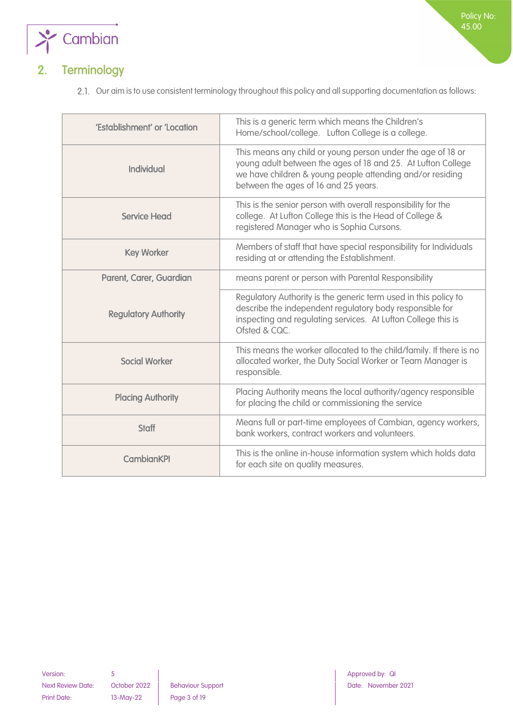

# 2. Terminology

2.1. Our aim is to use consistent terminology throughout this policy and all supporting documentation as follows:

| 'Establishment' or 'Location | This is a generic term which means the Children's<br>Home/school/college. Lufton College is a college.                                                                                                                           |
|------------------------------|----------------------------------------------------------------------------------------------------------------------------------------------------------------------------------------------------------------------------------|
| <b>Individual</b>            | This means any child or young person under the age of 18 or<br>young adult between the ages of 18 and 25. At Lufton College<br>we have children & young people attending and/or residing<br>between the ages of 16 and 25 years. |
| <b>Service Head</b>          | This is the senior person with overall responsibility for the<br>college. At Lufton College this is the Head of College &<br>registered Manager who is Sophia Cursons.                                                           |
| <b>Key Worker</b>            | Members of staff that have special responsibility for Individuals<br>residing at or attending the Establishment.                                                                                                                 |
| Parent, Carer, Guardian      | means parent or person with Parental Responsibility                                                                                                                                                                              |
| <b>Regulatory Authority</b>  | Regulatory Authority is the generic term used in this policy to<br>describe the independent regulatory body responsible for<br>inspecting and regulating services. At Lufton College this is<br>Ofsted & CQC.                    |
| <b>Social Worker</b>         | This means the worker allocated to the child/family. If there is no<br>allocated worker, the Duty Social Worker or Team Manager is<br>responsible.                                                                               |
| <b>Placing Authority</b>     | Placing Authority means the local authority/agency responsible<br>for placing the child or commissioning the service                                                                                                             |
| <b>Staff</b>                 | Means full or part-time employees of Cambian, agency workers,<br>bank workers, contract workers and volunteers.                                                                                                                  |
| <b>CambianKPI</b>            | This is the online in-house information system which holds data<br>for each site on quality measures.                                                                                                                            |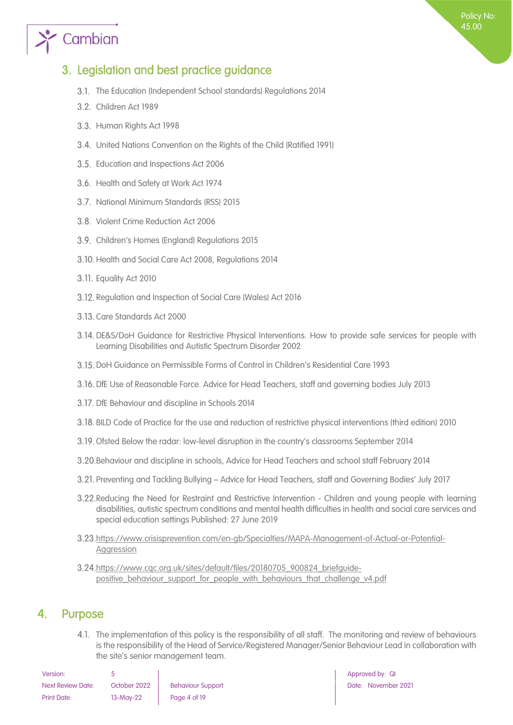# $\sum_{i=1}^{\infty}$  Cambian

## <span id="page-3-0"></span>3. Legislation and best practice guidance

- 3.1. The Education (Independent School standards) Regulations 2014
- 3.2. Children Act 1989
- 3.3. Human Rights Act 1998
- United Nations Convention on the Rights of the Child (Ratified 1991)
- 3.5. Education and Inspections Act 2006
- 3.6. Health and Safety at Work Act 1974
- 3.7. National Minimum Standards (RSS) 2015
- 3.8. Violent Crime Reduction Act 2006
- Children's Homes (England) Regulations 2015
- 3.10. Health and Social Care Act 2008, Regulations 2014
- 3.11. Equality Act 2010
- 3.12. Regulation and Inspection of Social Care (Wales) Act 2016
- 3.13. Care Standards Act 2000
- DE&S/DoH Guidance for Restrictive Physical Interventions. How to provide safe services for people with Learning Disabilities and Autistic Spectrum Disorder 2002
- DoH Guidance on Permissible Forms of Control in Children's Residential Care 1993
- DfE Use of Reasonable Force. Advice for Head Teachers, staff and governing bodies July 2013
- 3.17. DfE Behaviour and discipline in Schools 2014
- BILD Code of Practice for the use and reduction of restrictive physical interventions (third edition) 2010
- Ofsted Below the radar: low-level disruption in the country's classrooms September 2014
- Behaviour and discipline in schools, Advice for Head Teachers and school staff February 2014
- Preventing and Tackling Bullying Advice for Head Teachers, staff and Governing Bodies' July 2017
- 3.22. Reducing the Need for Restraint and Restrictive Intervention Children and young people with learning disabilities, autistic spectrum conditions and mental health difficulties in health and social care services and special education settings Published: 27 June 2019
- [https://www.crisisprevention.com/en-gb/Specialties/MAPA-Management-of-Actual-or-Potential-](https://www.crisisprevention.com/en-gb/Specialties/MAPA-Management-of-Actual-or-Potential-Aggression)**Aggression**
- [https://www.cqc.org.uk/sites/default/files/20180705\\_900824\\_briefguide](https://www.cqc.org.uk/sites/default/files/20180705_900824_briefguide-positive_behaviour_support_for_people_with_behaviours_that_challenge_v4.pdf)positive\_behaviour\_support\_for\_people\_with\_behaviours\_that\_challenge\_v4.pdf

### <span id="page-3-1"></span>4. Purpose

4.1. The implementation of this policy is the responsibility of all staff. The monitoring and review of behaviours is the responsibility of the Head of Service/Registered Manager/Senior Behaviour Lead in collaboration with the site's senior management team.

| Version:                 |              |                          |
|--------------------------|--------------|--------------------------|
| <b>Next Review Date:</b> | October 2022 | <b>Behaviour Support</b> |
| Print Date:              | $13-May-22$  | Page 4 of 19             |

Approved by: QI Date: November 2021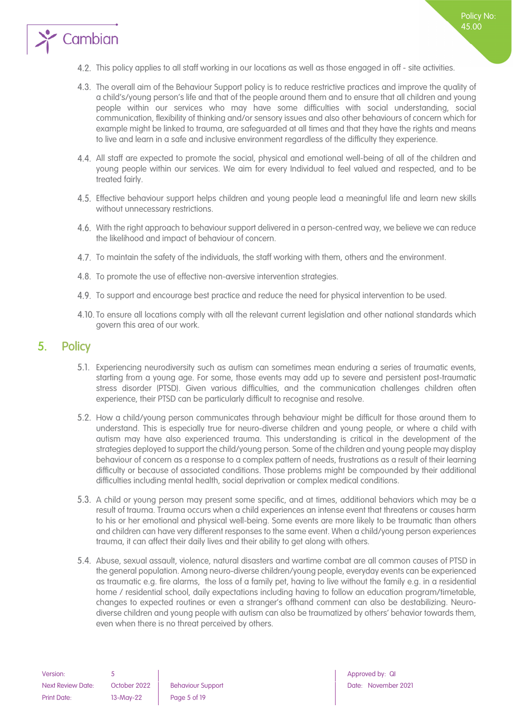

- The overall aim of the Behaviour Support policy is to reduce restrictive practices and improve the quality of a child's/young person's life and that of the people around them and to ensure that all children and young people within our services who may have some difficulties with social understanding, social communication, flexibility of thinking and/or sensory issues and also other behaviours of concern which for example might be linked to trauma, are safeguarded at all times and that they have the rights and means to live and learn in a safe and inclusive environment regardless of the difficulty they experience.
- All staff are expected to promote the social, physical and emotional well-being of all of the children and young people within our services. We aim for every Individual to feel valued and respected, and to be treated fairly.
- Effective behaviour support helps children and young people lead a meaningful life and learn new skills without unnecessary restrictions.
- 4.6. With the right approach to behaviour support delivered in a person-centred way, we believe we can reduce the likelihood and impact of behaviour of concern.
- 4.7. To maintain the safety of the individuals, the staff working with them, others and the environment.
- 4.8. To promote the use of effective non-aversive intervention strategies.
- 4.9. To support and encourage best practice and reduce the need for physical intervention to be used.
- 4.10. To ensure all locations comply with all the relevant current legislation and other national standards which govern this area of our work.

### <span id="page-4-0"></span>5. Policy

 $\sum_{i=1}^{\infty}$  Cambian

- Experiencing neurodiversity such as autism can sometimes mean enduring a series of traumatic events, starting from a young age. For some, those events may add up to severe and persistent post-traumatic stress disorder (PTSD). Given various difficulties, and the communication challenges children often experience, their PTSD can be particularly difficult to recognise and resolve.
- 5.2. How a child/young person communicates through behaviour might be difficult for those around them to understand. This is especially true for neuro-diverse children and young people, or where a child with autism may have also experienced trauma. This understanding is critical in the development of the strategies deployed to support the child/young person. Some of the children and young people may display behaviour of concern as a response to a complex pattern of needs, frustrations as a result of their learning difficulty or because of associated conditions. Those problems might be compounded by their additional difficulties including mental health, social deprivation or complex medical conditions.
- 5.3. A child or young person may present some specific, and at times, additional behaviors which may be a result of trauma. Trauma occurs when a child experiences an intense event that threatens or causes harm to his or her emotional and physical well-being. Some events are more likely to be traumatic than others and children can have very different responses to the same event. When a child/young person experiences trauma, it can affect their daily lives and their ability to get along with others.
- Abuse, sexual assault, violence, natural disasters and wartime combat are all common causes of PTSD in the general population. Among neuro-diverse children/young people, everyday events can be experienced as traumatic e.g. fire alarms, the loss of a family pet, having to live without the family e.g. in a residential home / residential school, daily expectations including having to follow an education program/timetable, changes to expected routines or even a stranger's offhand comment can also be destabilizing. Neurodiverse children and young people with autism can also be traumatized by others' behavior towards them, even when there is no threat perceived by others.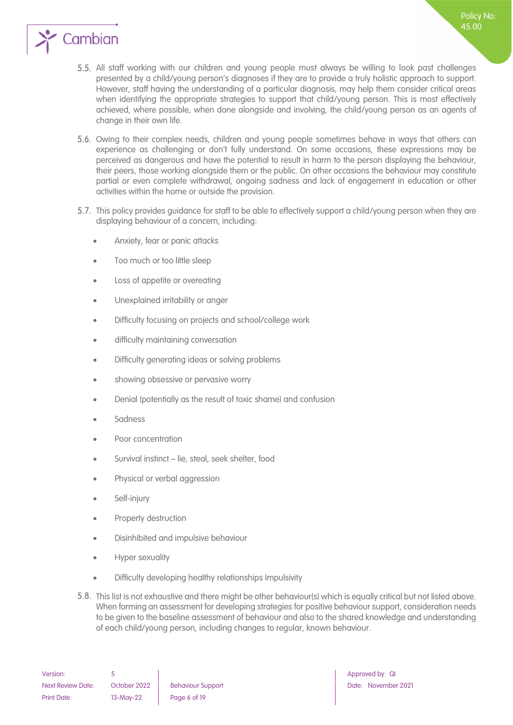

- All staff working with our children and young people must always be willing to look past challenges presented by a child/young person's diagnoses if they are to provide a truly holistic approach to support. However, staff having the understanding of a particular diagnosis, may help them consider critical areas when identifying the appropriate strategies to support that child/young person. This is most effectively achieved, where possible, when done alongside and involving, the child/young person as an agents of change in their own life.
- 5.6. Owing to their complex needs, children and young people sometimes behave in ways that others can experience as challenging or don't fully understand. On some occasions, these expressions may be perceived as dangerous and have the potential to result in harm to the person displaying the behaviour, their peers, those working alongside them or the public. On other occasions the behaviour may constitute partial or even complete withdrawal, ongoing sadness and lack of engagement in education or other activities within the home or outside the provision.
- 5.7. This policy provides guidance for staff to be able to effectively support a child/young person when they are displaying behaviour of a concern, including:
	- Anxiety, fear or panic attacks
	- Too much or too little sleep
	- Loss of appetite or overeating
	- Unexplained irritability or anger
	- Difficulty focusing on projects and school/college work
	- difficulty maintaining conversation
	- Difficulty generating ideas or solving problems
	- showing obsessive or pervasive worry
	- Denial (potentially as the result of toxic shame) and confusion
	- Sadness
	- Poor concentration
	- Survival instinct lie, steal, seek shelter, food
	- Physical or verbal aggression
	- Self-injury
	- Property destruction
	- Disinhibited and impulsive behaviour
	- Hyper sexuality
	- Difficulty developing healthy relationships Impulsivity
- 5.8. This list is not exhaustive and there might be other behaviour(s) which is equally critical but not listed above. When forming an assessment for developing strategies for positive behaviour support, consideration needs to be given to the baseline assessment of behaviour and also to the shared knowledge and understanding of each child/young person, including changes to regular, known behaviour.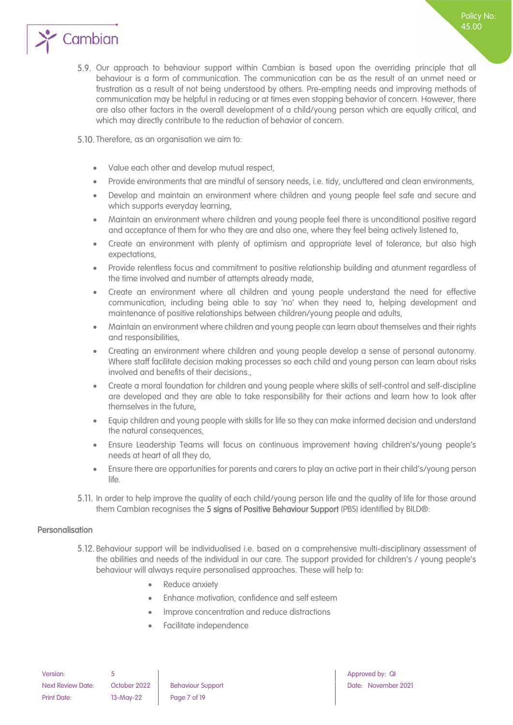

- 5.9. Our approach to behaviour support within Cambian is based upon the overriding principle that all behaviour is a form of communication. The communication can be as the result of an unmet need or frustration as a result of not being understood by others. Pre-empting needs and improving methods of communication may be helpful in reducing or at times even stopping behavior of concern. However, there are also other factors in the overall development of a child/young person which are equally critical, and which may directly contribute to the reduction of behavior of concern.
- 5.10. Therefore, as an organisation we aim to:
	- Value each other and develop mutual respect,
	- Provide environments that are mindful of sensory needs, i.e. tidy, uncluttered and clean environments,
	- Develop and maintain an environment where children and young people feel safe and secure and which supports everyday learning,
	- Maintain an environment where children and young people feel there is unconditional positive regard and acceptance of them for who they are and also one, where they feel being actively listened to,
	- Create an environment with plenty of optimism and appropriate level of tolerance, but also high expectations,
	- Provide relentless focus and commitment to positive relationship building and atunment regardless of the time involved and number of attempts already made,
	- Create an environment where all children and young people understand the need for effective communication, including being able to say 'no' when they need to, helping development and maintenance of positive relationships between children/young people and adults,
	- Maintain an environment where children and young people can learn about themselves and their rights and responsibilities,
	- Creating an environment where children and young people develop a sense of personal autonomy. Where staff facilitate decision making processes so each child and young person can learn about risks involved and benefits of their decisions.,
	- Create a moral foundation for children and young people where skills of self-control and self-discipline are developed and they are able to take responsibility for their actions and learn how to look after themselves in the future,
	- Equip children and young people with skills for life so they can make informed decision and understand the natural consequences,
	- Ensure Leadership Teams will focus on continuous improvement having children's/young people's needs at heart of all they do,
	- Ensure there are opportunities for parents and carers to play an active part in their child's/young person life.
- 5.11. In order to help improve the quality of each child/young person life and the quality of life for those around them Cambian recognises the 5 signs of Positive Behaviour Support (PBS) identified by BILD®:

#### <span id="page-6-0"></span>Personalisation

- Behaviour support will be individualised i.e. based on a comprehensive multi-disciplinary assessment of the abilities and needs of the individual in our care. The support provided for children's / young people's behaviour will always require personalised approaches. These will help to:
	- Reduce anxiety
	- Enhance motivation, confidence and self esteem
	- Improve concentration and reduce distractions
	- Facilitate independence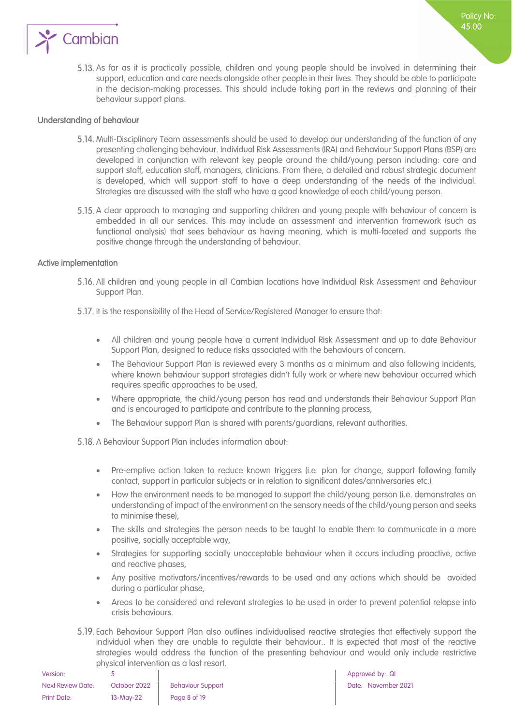

5.13. As far as it is practically possible, children and young people should be involved in determining their support, education and care needs alongside other people in their lives. They should be able to participate in the decision-making processes. This should include taking part in the reviews and planning of their behaviour support plans.

#### <span id="page-7-0"></span>Understanding of behaviour

- 5.14. Multi-Disciplinary Team assessments should be used to develop our understanding of the function of any presenting challenging behaviour. Individual Risk Assessments (IRA) and Behaviour Support Plans (BSP) are developed in conjunction with relevant key people around the child/young person including: care and support staff, education staff, managers, clinicians. From there, a detailed and robust strategic document is developed, which will support staff to have a deep understanding of the needs of the individual. Strategies are discussed with the staff who have a good knowledge of each child/young person.
- 5.15. A clear approach to managing and supporting children and young people with behaviour of concern is embedded in all our services. This may include an assessment and intervention framework (such as functional analysis) that sees behaviour as having meaning, which is multi-faceted and supports the positive change through the understanding of behaviour.

#### <span id="page-7-1"></span>Active implementation

- All children and young people in all Cambian locations have Individual Risk Assessment and Behaviour Support Plan.
- 5.17. It is the responsibility of the Head of Service/Registered Manager to ensure that:
	- All children and young people have a current Individual Risk Assessment and up to date Behaviour Support Plan, designed to reduce risks associated with the behaviours of concern.
	- The Behaviour Support Plan is reviewed every 3 months as a minimum and also following incidents, where known behaviour support strategies didn't fully work or where new behaviour occurred which requires specific approaches to be used,
	- Where appropriate, the child/young person has read and understands their Behaviour Support Plan and is encouraged to participate and contribute to the planning process,
	- The Behaviour support Plan is shared with parents/guardians, relevant authorities.

5.18. A Behaviour Support Plan includes information about:

- Pre-emptive action taken to reduce known triggers (i.e. plan for change, support following family contact, support in particular subjects or in relation to significant dates/anniversaries etc.)
- How the environment needs to be managed to support the child/young person (i.e. demonstrates an understanding of impact of the environment on the sensory needs of the child/young person and seeks to minimise these),
- The skills and strategies the person needs to be taught to enable them to communicate in a more positive, socially acceptable way,
- Strategies for supporting socially unacceptable behaviour when it occurs including proactive, active and reactive phases,
- Any positive motivators/incentives/rewards to be used and any actions which should be avoided during a particular phase,
- Areas to be considered and relevant strategies to be used in order to prevent potential relapse into crisis behaviours.
- Each Behaviour Support Plan also outlines individualised reactive strategies that effectively support the individual when they are unable to regulate their behaviour.. It is expected that most of the reactive strategies would address the function of the presenting behaviour and would only include restrictive physical intervention as a last resort.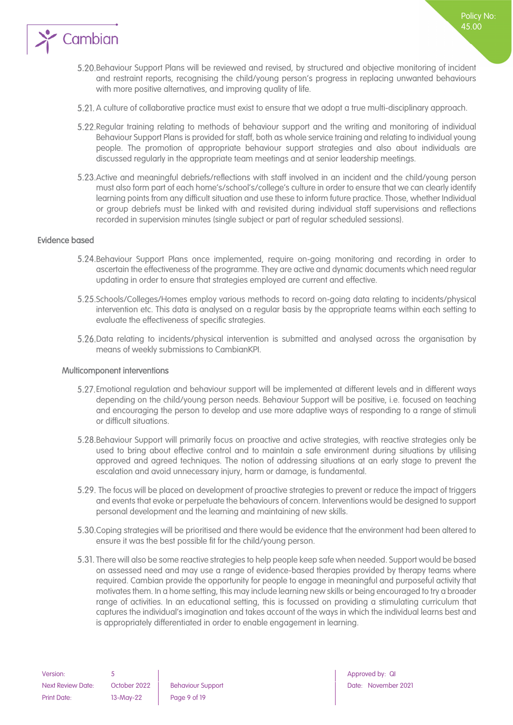

- Behaviour Support Plans will be reviewed and revised, by structured and objective monitoring of incident and restraint reports, recognising the child/young person's progress in replacing unwanted behaviours with more positive alternatives, and improving quality of life.
- 5.21. A culture of collaborative practice must exist to ensure that we adopt a true multi-disciplinary approach.
- 5.22. Regular training relating to methods of behaviour support and the writing and monitoring of individual Behaviour Support Plans is provided for staff, both as whole service training and relating to individual young people. The promotion of appropriate behaviour support strategies and also about individuals are discussed regularly in the appropriate team meetings and at senior leadership meetings.
- 5.23. Active and meaningful debriefs/reflections with staff involved in an incident and the child/young person must also form part of each home's/school's/college's culture in order to ensure that we can clearly identify learning points from any difficult situation and use these to inform future practice. Those, whether Individual or group debriefs must be linked with and revisited during individual staff supervisions and reflections recorded in supervision minutes (single subject or part of regular scheduled sessions).

#### <span id="page-8-0"></span>Evidence based

- Behaviour Support Plans once implemented, require on-going monitoring and recording in order to ascertain the effectiveness of the programme. They are active and dynamic documents which need regular updating in order to ensure that strategies employed are current and effective.
- Schools/Colleges/Homes employ various methods to record on-going data relating to incidents/physical intervention etc. This data is analysed on a regular basis by the appropriate teams within each setting to evaluate the effectiveness of specific strategies.
- 5.26. Data relating to incidents/physical intervention is submitted and analysed across the organisation by means of weekly submissions to CambianKPI.

#### <span id="page-8-1"></span>Multicomponent interventions

- Emotional regulation and behaviour support will be implemented at different levels and in different ways depending on the child/young person needs. Behaviour Support will be positive, i.e. focused on teaching and encouraging the person to develop and use more adaptive ways of responding to a range of stimuli or difficult situations.
- Behaviour Support will primarily focus on proactive and active strategies, with reactive strategies only be used to bring about effective control and to maintain a safe environment during situations by utilising approved and agreed techniques. The notion of addressing situations at an early stage to prevent the escalation and avoid unnecessary injury, harm or damage, is fundamental.
- The focus will be placed on development of proactive strategies to prevent or reduce the impact of triggers and events that evoke or perpetuate the behaviours of concern. Interventions would be designed to support personal development and the learning and maintaining of new skills.
- Coping strategies will be prioritised and there would be evidence that the environment had been altered to ensure it was the best possible fit for the child/young person.
- 5.31. There will also be some reactive strategies to help people keep safe when needed. Support would be based on assessed need and may use a range of evidence-based therapies provided by therapy teams where required. Cambian provide the opportunity for people to engage in meaningful and purposeful activity that motivates them. In a home setting, this may include learning new skills or being encouraged to try a broader range of activities. In an educational setting, this is focussed on providing a stimulating curriculum that captures the individual's imagination and takes account of the ways in which the individual learns best and is appropriately differentiated in order to enable engagement in learning.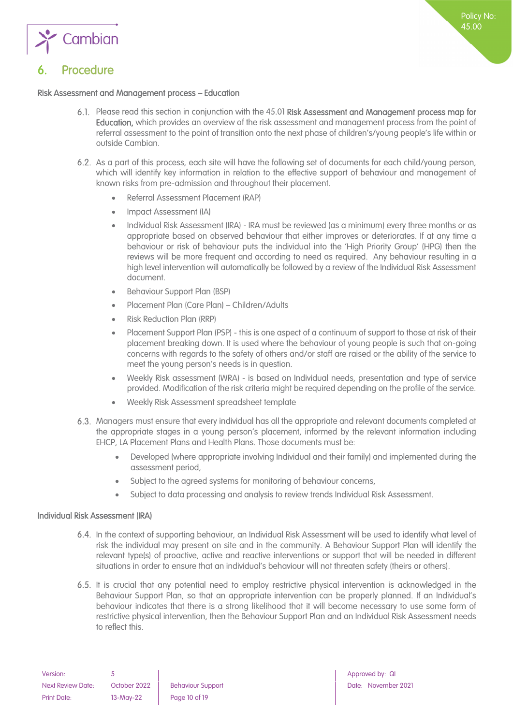

# <span id="page-9-0"></span>**Procedure**

#### Risk Assessment and Management process – Education

- Please read this section in conjunction with the 45.01 Risk Assessment and Management process map for Education, which provides an overview of the risk assessment and management process from the point of referral assessment to the point of transition onto the next phase of children's/young people's life within or outside Cambian.
- As a part of this process, each site will have the following set of documents for each child/young person, which will identify key information in relation to the effective support of behaviour and management of known risks from pre-admission and throughout their placement.
	- Referral Assessment Placement (RAP)
	- Impact Assessment (IA)
	- Individual Risk Assessment (IRA) IRA must be reviewed (as a minimum) every three months or as appropriate based on observed behaviour that either improves or deteriorates. If at any time a behaviour or risk of behaviour puts the individual into the 'High Priority Group' (HPG) then the reviews will be more frequent and according to need as required. Any behaviour resulting in a high level intervention will automatically be followed by a review of the Individual Risk Assessment document.
	- Behaviour Support Plan (BSP)
	- Placement Plan (Care Plan) Children/Adults
	- Risk Reduction Plan (RRP)
	- Placement Support Plan (PSP) this is one aspect of a continuum of support to those at risk of their placement breaking down. It is used where the behaviour of young people is such that on-going concerns with regards to the safety of others and/or staff are raised or the ability of the service to meet the young person's needs is in question.
	- Weekly Risk assessment (WRA) is based on Individual needs, presentation and type of service provided. Modification of the risk criteria might be required depending on the profile of the service.
	- Weekly Risk Assessment spreadsheet template
- Managers must ensure that every individual has all the appropriate and relevant documents completed at the appropriate stages in a young person's placement, informed by the relevant information including EHCP, LA Placement Plans and Health Plans. Those documents must be:
	- Developed (where appropriate involving Individual and their family) and implemented during the assessment period,
	- Subject to the agreed systems for monitoring of behaviour concerns,
	- Subject to data processing and analysis to review trends Individual Risk Assessment.

#### <span id="page-9-1"></span>Individual Risk Assessment (IRA)

- In the context of supporting behaviour, an Individual Risk Assessment will be used to identify what level of risk the individual may present on site and in the community. A Behaviour Support Plan will identify the relevant type(s) of proactive, active and reactive interventions or support that will be needed in different situations in order to ensure that an individual's behaviour will not threaten safety (theirs or others).
- 6.5. It is crucial that any potential need to employ restrictive physical intervention is acknowledged in the Behaviour Support Plan, so that an appropriate intervention can be properly planned. If an Individual's behaviour indicates that there is a strong likelihood that it will become necessary to use some form of restrictive physical intervention, then the Behaviour Support Plan and an Individual Risk Assessment needs to reflect this.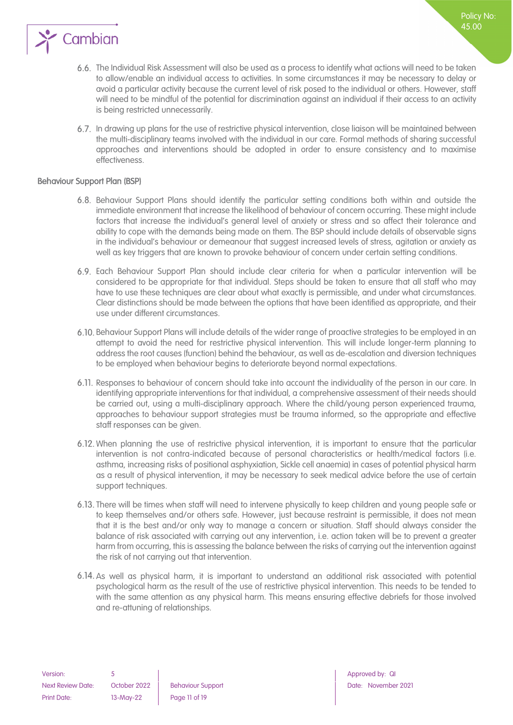

The Individual Risk Assessment will also be used as a process to identify what actions will need to be taken to allow/enable an individual access to activities. In some circumstances it may be necessary to delay or avoid a particular activity because the current level of risk posed to the individual or others. However, staff will need to be mindful of the potential for discrimination against an individual if their access to an activity is being restricted unnecessarily.

Policy No: 45.00

In drawing up plans for the use of restrictive physical intervention, close liaison will be maintained between the multi-disciplinary teams involved with the individual in our care. Formal methods of sharing successful approaches and interventions should be adopted in order to ensure consistency and to maximise effectiveness.

#### <span id="page-10-0"></span>Behaviour Support Plan (BSP)

- Behaviour Support Plans should identify the particular setting conditions both within and outside the immediate environment that increase the likelihood of behaviour of concern occurring. These might include factors that increase the individual's general level of anxiety or stress and so affect their tolerance and ability to cope with the demands being made on them. The BSP should include details of observable signs in the individual's behaviour or demeanour that suggest increased levels of stress, agitation or anxiety as well as key triggers that are known to provoke behaviour of concern under certain setting conditions.
- Each Behaviour Support Plan should include clear criteria for when a particular intervention will be considered to be appropriate for that individual. Steps should be taken to ensure that all staff who may have to use these techniques are clear about what exactly is permissible, and under what circumstances. Clear distinctions should be made between the options that have been identified as appropriate, and their use under different circumstances.
- 6.10. Behaviour Support Plans will include details of the wider range of proactive strategies to be employed in an attempt to avoid the need for restrictive physical intervention. This will include longer-term planning to address the root causes (function) behind the behaviour, as well as de-escalation and diversion techniques to be employed when behaviour begins to deteriorate beyond normal expectations.
- 6.11. Responses to behaviour of concern should take into account the individuality of the person in our care. In identifying appropriate interventions for that individual, a comprehensive assessment of their needs should be carried out, using a multi-disciplinary approach. Where the child/young person experienced trauma, approaches to behaviour support strategies must be trauma informed, so the appropriate and effective staff responses can be given.
- 6.12. When planning the use of restrictive physical intervention, it is important to ensure that the particular intervention is not contra-indicated because of personal characteristics or health/medical factors (i.e. asthma, increasing risks of positional asphyxiation, Sickle cell anaemia) in cases of potential physical harm as a result of physical intervention, it may be necessary to seek medical advice before the use of certain support techniques.
- There will be times when staff will need to intervene physically to keep children and young people safe or to keep themselves and/or others safe. However, just because restraint is permissible, it does not mean that it is the best and/or only way to manage a concern or situation. Staff should always consider the balance of risk associated with carrying out any intervention, i.e. action taken will be to prevent a greater harm from occurring, this is assessing the balance between the risks of carrying out the intervention against the risk of not carrying out that intervention.
- As well as physical harm, it is important to understand an additional risk associated with potential psychological harm as the result of the use of restrictive physical intervention. This needs to be tended to with the same attention as any physical harm. This means ensuring effective debriefs for those involved and re-attuning of relationships.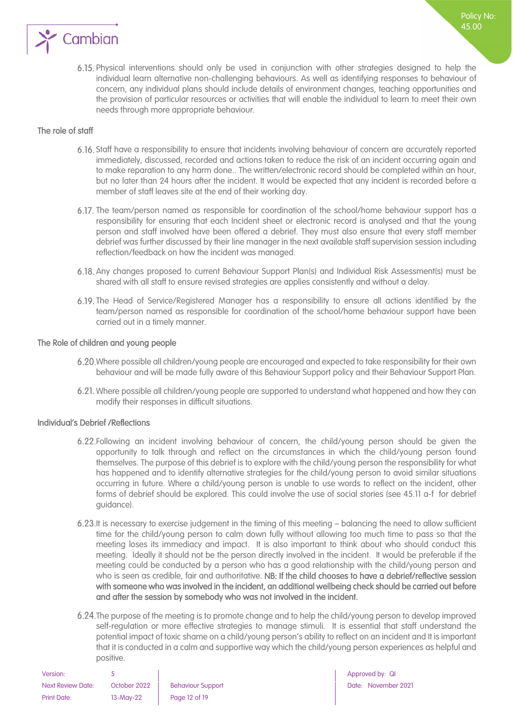

Physical interventions should only be used in conjunction with other strategies designed to help the individual learn alternative non-challenging behaviours. As well as identifying responses to behaviour of concern, any individual plans should include details of environment changes, teaching opportunities and the provision of particular resources or activities that will enable the individual to learn to meet their own needs through more appropriate behaviour.

#### <span id="page-11-0"></span>The role of staff

- Staff have a responsibility to ensure that incidents involving behaviour of concern are accurately reported immediately, discussed, recorded and actions taken to reduce the risk of an incident occurring again and to make reparation to any harm done.. The written/electronic record should be completed within an hour, but no later than 24 hours after the incident. It would be expected that any incident is recorded before a member of staff leaves site at the end of their working day.
- 6.17. The team/person named as responsible for coordination of the school/home behaviour support has a responsibility for ensuring that each Incident sheet or electronic record is analysed and that the young person and staff involved have been offered a debrief. They must also ensure that every staff member debrief was further discussed by their line manager in the next available staff supervision session including reflection/feedback on how the incident was managed.
- Any changes proposed to current Behaviour Support Plan(s) and Individual Risk Assessment(s) must be shared with all staff to ensure revised strategies are applies consistently and without a delay.
- The Head of Service/Registered Manager has a responsibility to ensure all actions identified by the team/person named as responsible for coordination of the school/home behaviour support have been carried out in a timely manner.

#### <span id="page-11-1"></span>The Role of children and young people

- 6.20. Where possible all children/young people are encouraged and expected to take responsibility for their own behaviour and will be made fully aware of this Behaviour Support policy and their Behaviour Support Plan.
- Where possible all children/young people are supported to understand what happened and how they can modify their responses in difficult situations.

#### <span id="page-11-2"></span>Individual's Debrief /Reflections

- Following an incident involving behaviour of concern, the child/young person should be given the opportunity to talk through and reflect on the circumstances in which the child/young person found themselves. The purpose of this debrief is to explore with the child/young person the responsibility for what has happened and to identify alternative strategies for the child/young person to avoid similar situations occurring in future. Where a child/young person is unable to use words to reflect on the incident, other forms of debrief should be explored. This could involve the use of social stories (see 45.11 a-f for debrief guidance).
- 6.23. It is necessary to exercise judgement in the timing of this meeting balancing the need to allow sufficient time for the child/young person to calm down fully without allowing too much time to pass so that the meeting loses its immediacy and impact. It is also important to think about who should conduct this meeting. Ideally it should not be the person directly involved in the incident. It would be preferable if the meeting could be conducted by a person who has a good relationship with the child/young person and who is seen as credible, fair and authoritative. NB: If the child chooses to have a debrief/reflective session with someone who was involved in the incident, an additional wellbeing check should be carried out before and after the session by somebody who was not involved in the incident.
- 6.24. The purpose of the meeting is to promote change and to help the child/young person to develop improved self-regulation or more effective strategies to manage stimuli. It is essential that staff understand the potential impact of toxic shame on a child/young person's ability to reflect on an incident and It is important that it is conducted in a calm and supportive way which the child/young person experiences as helpful and positive.

| Version:                 |              |                         |
|--------------------------|--------------|-------------------------|
| <b>Next Review Date:</b> | October 2022 | <b>Behaviour Suppor</b> |
| Print Date:              | 13-May-22    | Page 12 of 19           |

Approved by: QI next Review Date: November 2021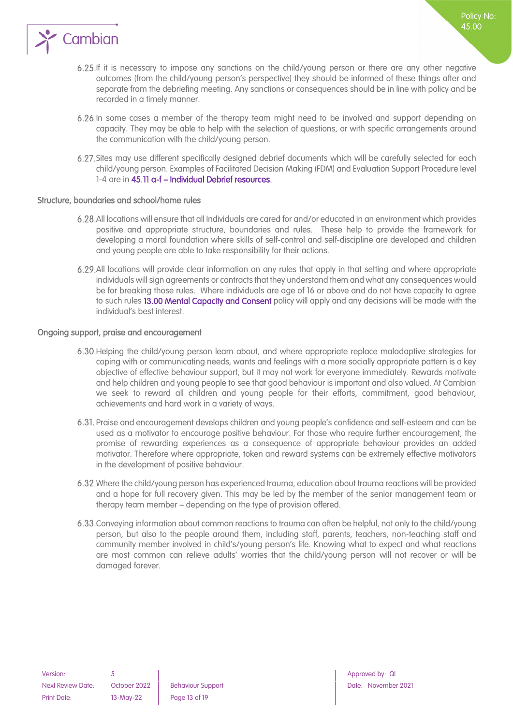

If it is necessary to impose any sanctions on the child/young person or there are any other negative outcomes (from the child/young person's perspective) they should be informed of these things after and separate from the debriefing meeting. Any sanctions or consequences should be in line with policy and be recorded in a timely manner.

Policy No: 45.00

- In some cases a member of the therapy team might need to be involved and support depending on capacity. They may be able to help with the selection of questions, or with specific arrangements around the communication with the child/young person.
- Sites may use different specifically designed debrief documents which will be carefully selected for each child/young person. Examples of Facilitated Decision Making (FDM) and Evaluation Support Procedure level 1-4 are in 45.11 a-f – Individual Debrief resources.

#### <span id="page-12-0"></span>Structure, boundaries and school/home rules

- All locations will ensure that all Individuals are cared for and/or educated in an environment which provides positive and appropriate structure, boundaries and rules. These help to provide the framework for developing a moral foundation where skills of self-control and self-discipline are developed and children and young people are able to take responsibility for their actions.
- All locations will provide clear information on any rules that apply in that setting and where appropriate individuals will sign agreements or contracts that they understand them and what any consequences would be for breaking those rules. Where individuals are age of 16 or above and do not have capacity to agree to such rules 13.00 Mental Capacity and Consent policy will apply and any decisions will be made with the individual's best interest.

#### <span id="page-12-1"></span>Ongoing support, praise and encouragement

- 6.30. Helping the child/young person learn about, and where appropriate replace maladaptive strategies for coping with or communicating needs, wants and feelings with a more socially appropriate pattern is a key objective of effective behaviour support, but it may not work for everyone immediately. Rewards motivate and help children and young people to see that good behaviour is important and also valued. At Cambian we seek to reward all children and young people for their efforts, commitment, good behaviour, achievements and hard work in a variety of ways.
- Praise and encouragement develops children and young people's confidence and self-esteem and can be used as a motivator to encourage positive behaviour. For those who require further encouragement, the promise of rewarding experiences as a consequence of appropriate behaviour provides an added motivator. Therefore where appropriate, token and reward systems can be extremely effective motivators in the development of positive behaviour.
- Where the child/young person has experienced trauma, education about trauma reactions will be provided and a hope for full recovery given. This may be led by the member of the senior management team or therapy team member – depending on the type of provision offered.
- Conveying information about common reactions to trauma can often be helpful, not only to the child/young person, but also to the people around them, including staff, parents, teachers, non-teaching staff and community member involved in child's/young person's life. Knowing what to expect and what reactions are most common can relieve adults' worries that the child/young person will not recover or will be damaged forever.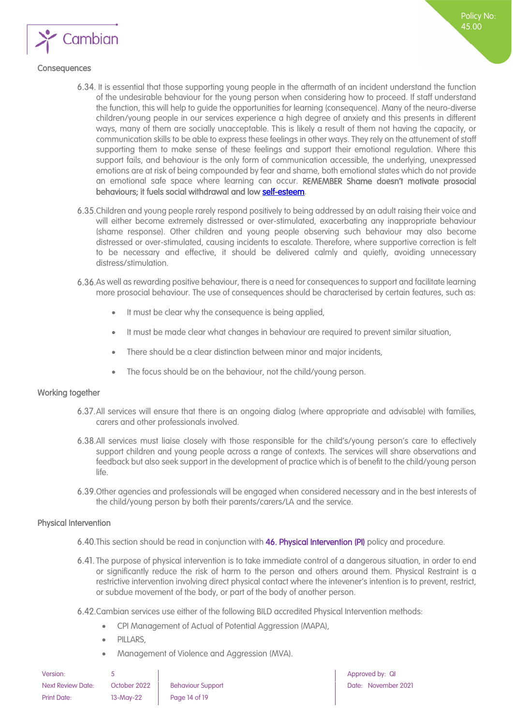

#### <span id="page-13-0"></span>**Consequences**

- 6.34. It is essential that those supporting young people in the aftermath of an incident understand the function of the undesirable behaviour for the young person when considering how to proceed. If staff understand the function, this will help to guide the opportunities for learning (consequence). Many of the neuro-diverse children/young people in our services experience a high degree of anxiety and this presents in different ways, many of them are socially unacceptable. This is likely a result of them not having the capacity, or communication skills to be able to express these feelings in other ways. They rely on the attunement of staff supporting them to make sense of these feelings and support their emotional regulation. Where this support fails, and behaviour is the only form of communication accessible, the underlying, unexpressed emotions are at risk of being compounded by fear and shame, both emotional states which do not provide an emotional safe space where learning can occur. REMEMBER Shame doesn't motivate prosocial behaviours; it fuels social withdrawal and lo[w self-esteem.](https://www.psychologytoday.com/us/basics/self-esteem)
- Children and young people rarely respond positively to being addressed by an adult raising their voice and will either become extremely distressed or over-stimulated, exacerbating any inappropriate behaviour (shame response). Other children and young people observing such behaviour may also become distressed or over-stimulated, causing incidents to escalate. Therefore, where supportive correction is felt to be necessary and effective, it should be delivered calmly and quietly, avoiding unnecessary distress/stimulation.
- As well as rewarding positive behaviour, there is a need for consequences to support and facilitate learning more prosocial behaviour. The use of consequences should be characterised by certain features, such as:
	- It must be clear why the consequence is being applied,
	- It must be made clear what changes in behaviour are required to prevent similar situation,
	- There should be a clear distinction between minor and major incidents,
	- The focus should be on the behaviour, not the child/young person.

#### <span id="page-13-1"></span>Working together

- All services will ensure that there is an ongoing dialog (where appropriate and advisable) with families, carers and other professionals involved.
- All services must liaise closely with those responsible for the child's/young person's care to effectively support children and young people across a range of contexts. The services will share observations and feedback but also seek support in the development of practice which is of benefit to the child/young person life.
- 6.39. Other agencies and professionals will be engaged when considered necessary and in the best interests of the child/young person by both their parents/carers/LA and the service.

#### <span id="page-13-2"></span>Physical Intervention

- 6.40. This section should be read in conjunction with 46. Physical Intervention (PI) policy and procedure.
- 6.41. The purpose of physical intervention is to take immediate control of a dangerous situation, in order to end or significantly reduce the risk of harm to the person and others around them. Physical Restraint is a restrictive intervention involving direct physical contact where the intevener's intention is to prevent, restrict, or subdue movement of the body, or part of the body of another person.
- Cambian services use either of the following BILD accredited Physical Intervention methods:
	- CPI Management of Actual of Potential Aggression (MAPA),
	- PILLARS,
	- Management of Violence and Aggression (MVA).

| Version:                 |              |                          |
|--------------------------|--------------|--------------------------|
| <b>Next Review Date:</b> | October 2022 | <b>Behaviour Support</b> |
| Print Date:              | $13-May-22$  | Page 14 of 19            |

Approved by: QI Date: November 2021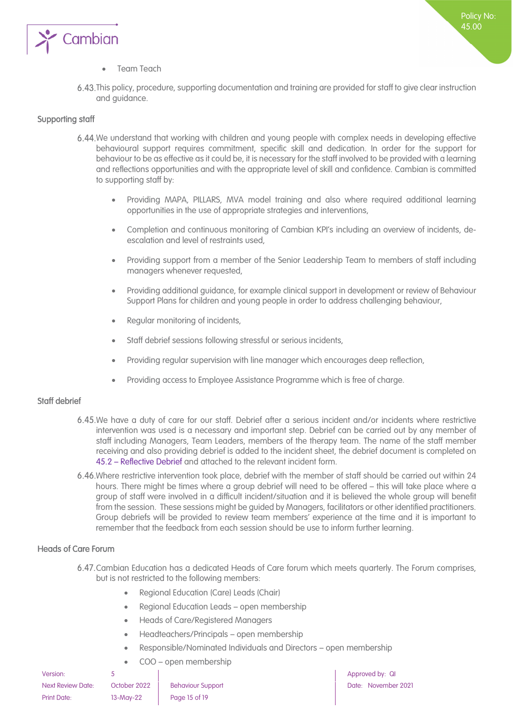

#### Team Teach

This policy, procedure, supporting documentation and training are provided for staff to give clear instruction and guidance.

#### <span id="page-14-0"></span>Supporting staff

- 6.44. We understand that working with children and young people with complex needs in developing effective behavioural support requires commitment, specific skill and dedication. In order for the support for behaviour to be as effective as it could be, it is necessary for the staff involved to be provided with a learning and reflections opportunities and with the appropriate level of skill and confidence. Cambian is committed to supporting staff by:
	- Providing MAPA, PILLARS, MVA model training and also where required additional learning opportunities in the use of appropriate strategies and interventions,
	- Completion and continuous monitoring of Cambian KPI's including an overview of incidents, deescalation and level of restraints used,
	- Providing support from a member of the Senior Leadership Team to members of staff including managers whenever requested,
	- Providing additional guidance, for example clinical support in development or review of Behaviour Support Plans for children and young people in order to address challenging behaviour,
	- Regular monitoring of incidents,
	- Staff debrief sessions following stressful or serious incidents,
	- Providing regular supervision with line manager which encourages deep reflection,
	- Providing access to Employee Assistance Programme which is free of charge.

#### <span id="page-14-1"></span>Staff debrief

- 6.45. We have a duty of care for our staff. Debrief after a serious incident and/or incidents where restrictive intervention was used is a necessary and important step. Debrief can be carried out by any member of staff including Managers, Team Leaders, members of the therapy team. The name of the staff member receiving and also providing debrief is added to the incident sheet, the debrief document is completed on 45.2 – Reflective Debrief and attached to the relevant incident form.
- Where restrictive intervention took place, debrief with the member of staff should be carried out within 24 hours. There might be times where a group debrief will need to be offered – this will take place where a group of staff were involved in a difficult incident/situation and it is believed the whole group will benefit from the session. These sessions might be guided by Managers, facilitators or other identified practitioners. Group debriefs will be provided to review team members' experience at the time and it is important to remember that the feedback from each session should be use to inform further learning.

#### <span id="page-14-2"></span>Heads of Care Forum

- Cambian Education has a dedicated Heads of Care forum which meets quarterly. The Forum comprises, but is not restricted to the following members:
	- Regional Education (Care) Leads (Chair)
	- Regional Education Leads open membership
	- Heads of Care/Registered Managers
	- Headteachers/Principals open membership
	- Responsible/Nominated Individuals and Directors open membership
	- COO open membership

| Version:                 |  |
|--------------------------|--|
| <b>Next Review Date:</b> |  |
| <b>Print Date:</b>       |  |

13-May-22 | Page 15 of 19

**Version: 5** Approved by: QI October 2022 Behaviour Support Date: November 2021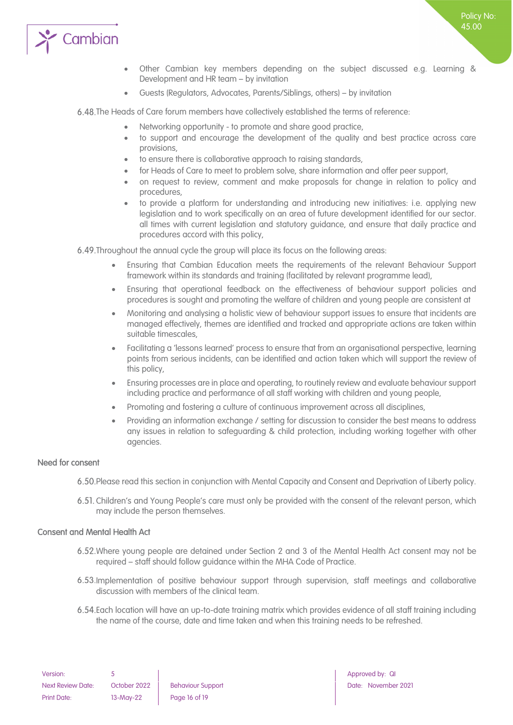

Policy No: 45.00

Guests (Regulators, Advocates, Parents/Siblings, others) – by invitation

6.48. The Heads of Care forum members have collectively established the terms of reference:

- Networking opportunity to promote and share good practice,
- to support and encourage the development of the quality and best practice across care provisions,
- to ensure there is collaborative approach to raising standards,
- for Heads of Care to meet to problem solve, share information and offer peer support,
- on request to review, comment and make proposals for change in relation to policy and procedures,
- to provide a platform for understanding and introducing new initiatives: i.e. applying new legislation and to work specifically on an area of future development identified for our sector. all times with current legislation and statutory guidance, and ensure that daily practice and procedures accord with this policy,

Throughout the annual cycle the group will place its focus on the following areas:

- Ensuring that Cambian Education meets the requirements of the relevant Behaviour Support framework within its standards and training (facilitated by relevant programme lead),
- Ensuring that operational feedback on the effectiveness of behaviour support policies and procedures is sought and promoting the welfare of children and young people are consistent at
- Monitoring and analysing a holistic view of behaviour support issues to ensure that incidents are managed effectively, themes are identified and tracked and appropriate actions are taken within suitable timescales,
- Facilitating a 'lessons learned' process to ensure that from an organisational perspective, learning points from serious incidents, can be identified and action taken which will support the review of this policy,
- Ensuring processes are in place and operating, to routinely review and evaluate behaviour support including practice and performance of all staff working with children and young people,
- Promoting and fostering a culture of continuous improvement across all disciplines,
- Providing an information exchange / setting for discussion to consider the best means to address any issues in relation to safeguarding & child protection, including working together with other agencies.

#### <span id="page-15-0"></span>Need for consent

- 6.50. Please read this section in conjunction with Mental Capacity and Consent and Deprivation of Liberty policy.
- 6.51. Children's and Young People's care must only be provided with the consent of the relevant person, which may include the person themselves.

#### <span id="page-15-1"></span>Consent and Mental Health Act

- Where young people are detained under Section 2 and 3 of the Mental Health Act consent may not be required – staff should follow guidance within the MHA Code of Practice.
- Implementation of positive behaviour support through supervision, staff meetings and collaborative discussion with members of the clinical team.
- Each location will have an up-to-date training matrix which provides evidence of all staff training including the name of the course, date and time taken and when this training needs to be refreshed.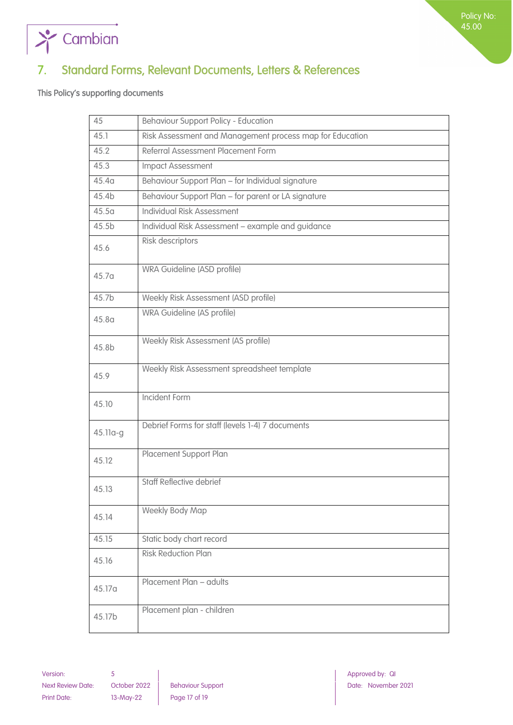

# <span id="page-16-0"></span>7. Standard Forms, Relevant Documents, Letters & References

<span id="page-16-1"></span>This Policy's supporting documents

 $\sum_{i=1}^{n}$  Cambian

| 45                | <b>Behaviour Support Policy - Education</b>              |
|-------------------|----------------------------------------------------------|
| 45.1              | Risk Assessment and Management process map for Education |
| 45.2              | Referral Assessment Placement Form                       |
| 45.3              | <b>Impact Assessment</b>                                 |
| 45.4 <sub>a</sub> | Behaviour Support Plan - for Individual signature        |
| 45.4b             | Behaviour Support Plan - for parent or LA signature      |
| 45.5 <sub>a</sub> | <b>Individual Risk Assessment</b>                        |
| 45.5b             | Individual Risk Assessment - example and guidance        |
| 45.6              | Risk descriptors                                         |
| 45.7 <sub>a</sub> | WRA Guideline (ASD profile)                              |
| 45.7b             | Weekly Risk Assessment (ASD profile)                     |
| 45.8 <sub>a</sub> | WRA Guideline (AS profile)                               |
| 45.8b             | Weekly Risk Assessment (AS profile)                      |
| 45.9              | Weekly Risk Assessment spreadsheet template              |
| 45.10             | <b>Incident Form</b>                                     |
| 45.11a-g          | Debrief Forms for staff (levels 1-4) 7 documents         |
| 45.12             | Placement Support Plan                                   |
| 45.13             | <b>Staff Reflective debrief</b>                          |
| 45.14             | <b>Weekly Body Map</b>                                   |
| 45.15             | Static body chart record                                 |
| 45.16             | <b>Risk Reduction Plan</b>                               |
| 45.17a            | Placement Plan - adults                                  |
| 45.17b            | Placement plan - children                                |

Version: 5 Approved by: QI Approved by: QI Approved by: QI Approved by: QI Approved by: QI Next Review Date: October 2022 Behaviour Support Next Review Date: November 2021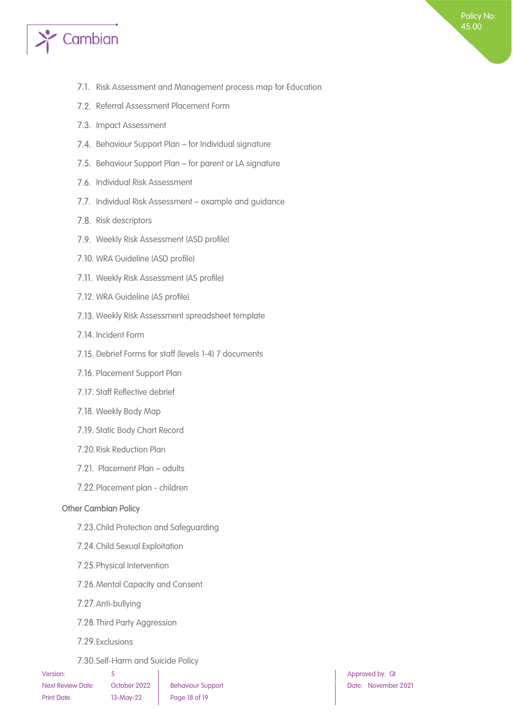

- 7.1. Risk Assessment and Management process map for Education
- 7.2. Referral Assessment Placement Form
- 7.3. Impact Assessment
- 7.4. Behaviour Support Plan for Individual signature
- 7.5. Behaviour Support Plan for parent or LA signature
- 7.6. Individual Risk Assessment
- 7.7. Individual Risk Assessment example and guidance
- 7.8. Risk descriptors
- 7.9. Weekly Risk Assessment (ASD profile)
- 7.10. WRA Guideline (ASD profile)
- 7.11. Weekly Risk Assessment (AS profile)
- 7.12. WRA Guideline (AS profile)
- 7.13. Weekly Risk Assessment spreadsheet template
- 7.14. Incident Form
- 7.15. Debrief Forms for staff (levels 1-4) 7 documents
- 7.16. Placement Support Plan
- 7.17. Staff Reflective debrief
- 7.18. Weekly Body Map
- 7.19. Static Body Chart Record
- 7.20. Risk Reduction Plan
- 7.21. Placement Plan adults
- 7.22. Placement plan children

#### <span id="page-17-0"></span>Other Cambian Policy

- 7.23. Child Protection and Safeguarding
- 7.24. Child Sexual Exploitation
- 7.25. Physical Intervention
- 7.26. Mental Capacity and Consent
- 7.27. Anti-bullying
- 7.28. Third Party Aggression
- 7.29. Exclusions
- 7.30. Self-Harm and Suicide Policy